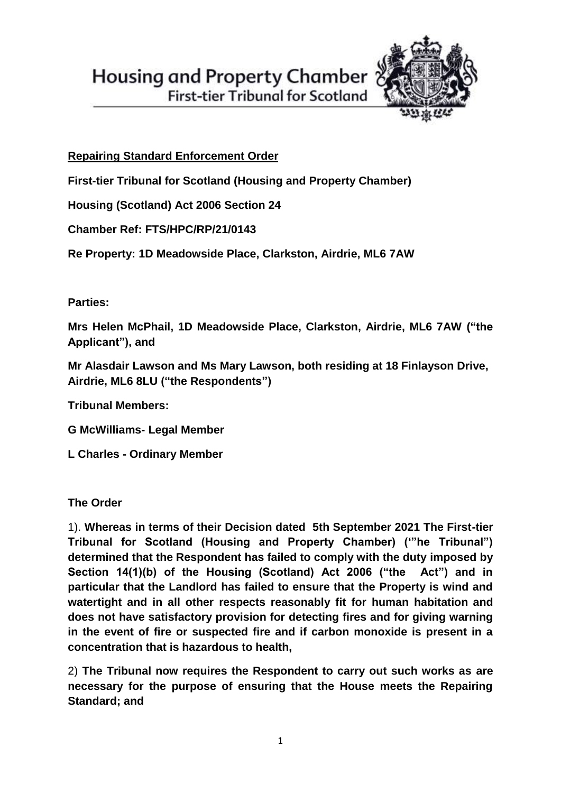



**First-tier Tribunal for Scotland** 

## **Repairing Standard Enforcement Order**

**First-tier Tribunal for Scotland (Housing and Property Chamber)**

**Housing (Scotland) Act 2006 Section 24**

**Chamber Ref: FTS/HPC/RP/21/0143**

**Re Property: 1D Meadowside Place, Clarkston, Airdrie, ML6 7AW**

**Parties:**

**Mrs Helen McPhail, 1D Meadowside Place, Clarkston, Airdrie, ML6 7AW ("the Applicant"), and**

**Mr Alasdair Lawson and Ms Mary Lawson, both residing at 18 Finlayson Drive, Airdrie, ML6 8LU ("the Respondents")** 

**Tribunal Members:**

**G McWilliams- Legal Member**

**L Charles - Ordinary Member**

**The Order**

1). **Whereas in terms of their Decision dated 5th September 2021 The First-tier Tribunal for Scotland (Housing and Property Chamber) ('"he Tribunal") determined that the Respondent has failed to comply with the duty imposed by Section 14(1)(b) of the Housing (Scotland) Act 2006 ("the Act") and in particular that the Landlord has failed to ensure that the Property is wind and watertight and in all other respects reasonably fit for human habitation and does not have satisfactory provision for detecting fires and for giving warning in the event of fire or suspected fire and if carbon monoxide is present in a concentration that is hazardous to health,**

2) **The Tribunal now requires the Respondent to carry out such works as are necessary for the purpose of ensuring that the House meets the Repairing Standard; and**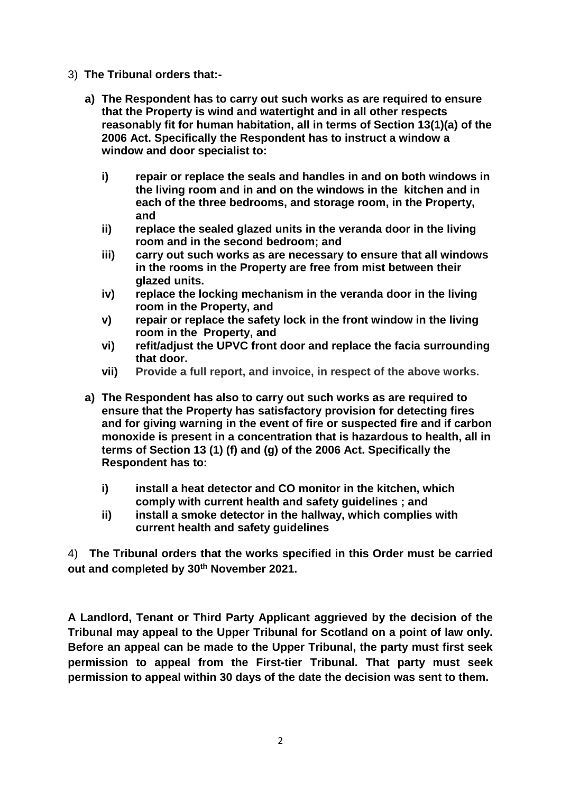- 3) **The Tribunal orders that:**
	- **a) The Respondent has to carry out such works as are required to ensure that the Property is wind and watertight and in all other respects reasonably fit for human habitation, all in terms of Section 13(1)(a) of the 2006 Act. Specifically the Respondent has to instruct a window a window and door specialist to:**
		- **i) repair or replace the seals and handles in and on both windows in the living room and in and on the windows in the kitchen and in each of the three bedrooms, and storage room, in the Property, and**
		- **ii) replace the sealed glazed units in the veranda door in the living room and in the second bedroom; and**
		- **iii) carry out such works as are necessary to ensure that all windows in the rooms in the Property are free from mist between their glazed units.**
		- **iv) replace the locking mechanism in the veranda door in the living room in the Property, and**
		- **v) repair or replace the safety lock in the front window in the living room in the Property, and**
		- **vi) refit/adjust the UPVC front door and replace the facia surrounding that door.**
		- **vii) Provide a full report, and invoice, in respect of the above works.**
	- **a) The Respondent has also to carry out such works as are required to ensure that the Property has satisfactory provision for detecting fires and for giving warning in the event of fire or suspected fire and if carbon monoxide is present in a concentration that is hazardous to health, all in terms of Section 13 (1) (f) and (g) of the 2006 Act. Specifically the Respondent has to:**
		- **i) install a heat detector and CO monitor in the kitchen, which comply with current health and safety guidelines ; and**
		- **ii) install a smoke detector in the hallway, which complies with current health and safety guidelines**

4) **The Tribunal orders that the works specified in this Order must be carried out and completed by 30th November 2021.**

**A Landlord, Tenant or Third Party Applicant aggrieved by the decision of the Tribunal may appeal to the Upper Tribunal for Scotland on a point of law only. Before an appeal can be made to the Upper Tribunal, the party must first seek permission to appeal from the First-tier Tribunal. That party must seek permission to appeal within 30 days of the date the decision was sent to them.**